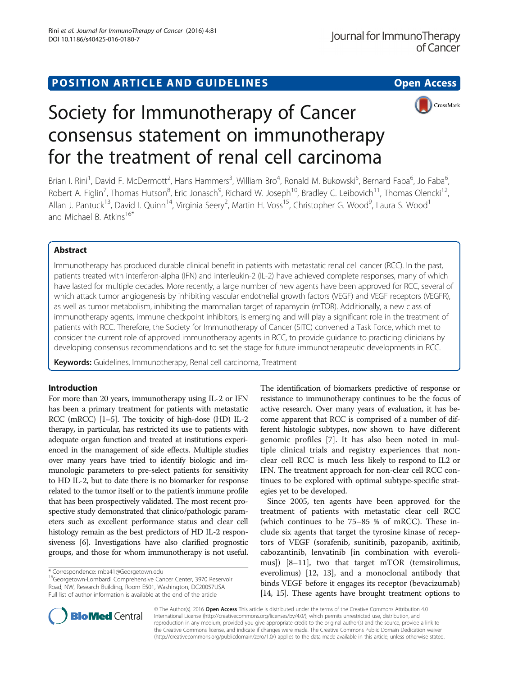## POSITION ARTICLE AND GUIDELINES **Solution CONTROL** POSITION ARTICLE AND GUIDELINES



# Society for Immunotherapy of Cancer consensus statement on immunotherapy for the treatment of renal cell carcinoma

Brian I. Rini<sup>1</sup>, David F. McDermott<sup>2</sup>, Hans Hammers<sup>3</sup>, William Bro<sup>4</sup>, Ronald M. Bukowski<sup>5</sup>, Bernard Faba<sup>6</sup>, Jo Faba<sup>6</sup> , Robert A. Figlin<sup>7</sup>, Thomas Hutson<sup>8</sup>, Eric Jonasch<sup>9</sup>, Richard W. Joseph<sup>10</sup>, Bradley C. Leibovich<sup>11</sup>, Thomas Olencki<sup>12</sup>, Allan J. Pantuck<sup>13</sup>, David I. Quinn<sup>14</sup>, Virginia Seery<sup>2</sup>, Martin H. Voss<sup>15</sup>, Christopher G. Wood<sup>9</sup>, Laura S. Wood<sup>1</sup> and Michael B. Atkins<sup>16\*</sup>

## Abstract

Immunotherapy has produced durable clinical benefit in patients with metastatic renal cell cancer (RCC). In the past, patients treated with interferon-alpha (IFN) and interleukin-2 (IL-2) have achieved complete responses, many of which have lasted for multiple decades. More recently, a large number of new agents have been approved for RCC, several of which attack tumor angiogenesis by inhibiting vascular endothelial growth factors (VEGF) and VEGF receptors (VEGFR), as well as tumor metabolism, inhibiting the mammalian target of rapamycin (mTOR). Additionally, a new class of immunotherapy agents, immune checkpoint inhibitors, is emerging and will play a significant role in the treatment of patients with RCC. Therefore, the Society for Immunotherapy of Cancer (SITC) convened a Task Force, which met to consider the current role of approved immunotherapy agents in RCC, to provide guidance to practicing clinicians by developing consensus recommendations and to set the stage for future immunotherapeutic developments in RCC.

Keywords: Guidelines, Immunotherapy, Renal cell carcinoma, Treatment

## Introduction

For more than 20 years, immunotherapy using IL-2 or IFN has been a primary treatment for patients with metastatic RCC (mRCC) [\[1](#page-12-0)–[5](#page-13-0)]. The toxicity of high-dose (HD) IL-2 therapy, in particular, has restricted its use to patients with adequate organ function and treated at institutions experienced in the management of side effects. Multiple studies over many years have tried to identify biologic and immunologic parameters to pre-select patients for sensitivity to HD IL-2, but to date there is no biomarker for response related to the tumor itself or to the patient's immune profile that has been prospectively validated. The most recent prospective study demonstrated that clinico/pathologic parameters such as excellent performance status and clear cell histology remain as the best predictors of HD IL-2 responsiveness [\[6\]](#page-13-0). Investigations have also clarified prognostic groups, and those for whom immunotherapy is not useful.

\* Correspondence: [mba41@Georgetown.edu](mailto:mba41@Georgetown.edu) 16Georgetown-Lombardi Comprehensive Cancer Center, 3970 Reservoir Road, NW, Research Building, Room E501, Washington, DC20057USA Full list of author information is available at the end of the article

The identification of biomarkers predictive of response or resistance to immunotherapy continues to be the focus of active research. Over many years of evaluation, it has become apparent that RCC is comprised of a number of different histologic subtypes, now shown to have different genomic profiles [\[7](#page-13-0)]. It has also been noted in multiple clinical trials and registry experiences that nonclear cell RCC is much less likely to respond to IL2 or IFN. The treatment approach for non-clear cell RCC continues to be explored with optimal subtype-specific strategies yet to be developed.

Since 2005, ten agents have been approved for the treatment of patients with metastatic clear cell RCC (which continues to be 75–85 % of mRCC). These include six agents that target the tyrosine kinase of receptors of VEGF (sorafenib, sunitinib, pazopanib, axitinib, cabozantinib, lenvatinib [in combination with everolimus]) [\[8](#page-13-0)–[11\]](#page-13-0), two that target mTOR (temsirolimus, everolimus) [[12, 13\]](#page-13-0), and a monoclonal antibody that binds VEGF before it engages its receptor (bevacizumab) [[14](#page-13-0), [15\]](#page-13-0). These agents have brought treatment options to



© The Author(s). 2016 Open Access This article is distributed under the terms of the Creative Commons Attribution 4.0 International License [\(http://creativecommons.org/licenses/by/4.0/](http://creativecommons.org/licenses/by/4.0/)), which permits unrestricted use, distribution, and reproduction in any medium, provided you give appropriate credit to the original author(s) and the source, provide a link to the Creative Commons license, and indicate if changes were made. The Creative Commons Public Domain Dedication waiver [\(http://creativecommons.org/publicdomain/zero/1.0/](http://creativecommons.org/publicdomain/zero/1.0/)) applies to the data made available in this article, unless otherwise stated.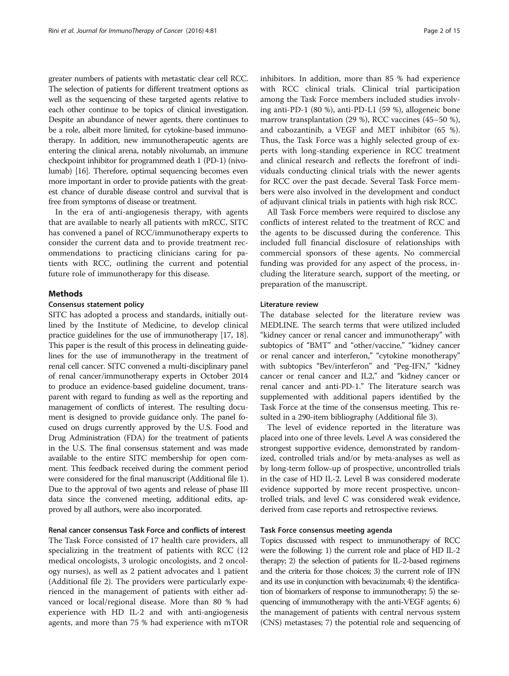greater numbers of patients with metastatic clear cell RCC. The selection of patients for different treatment options as well as the sequencing of these targeted agents relative to each other continue to be topics of clinical investigation. Despite an abundance of newer agents, there continues to be a role, albeit more limited, for cytokine-based immunotherapy. In addition, new immunotherapeutic agents are entering the clinical arena, notably nivolumab, an immune checkpoint inhibitor for programmed death 1 (PD-1) (nivolumab) [\[16](#page-13-0)]. Therefore, optimal sequencing becomes even more important in order to provide patients with the greatest chance of durable disease control and survival that is free from symptoms of disease or treatment.

In the era of anti-angiogenesis therapy, with agents that are available to nearly all patients with mRCC, SITC has convened a panel of RCC/immunotherapy experts to consider the current data and to provide treatment recommendations to practicing clinicians caring for patients with RCC, outlining the current and potential future role of immunotherapy for this disease.

## **Methods**

#### Consensus statement policy

SITC has adopted a process and standards, initially outlined by the Institute of Medicine, to develop clinical practice guidelines for the use of immunotherapy [\[17, 18](#page-13-0)]. This paper is the result of this process in delineating guidelines for the use of immunotherapy in the treatment of renal cell cancer. SITC convened a multi-disciplinary panel of renal cancer/immunotherapy experts in October 2014 to produce an evidence-based guideline document, transparent with regard to funding as well as the reporting and management of conflicts of interest. The resulting document is designed to provide guidance only. The panel focused on drugs currently approved by the U.S. Food and Drug Administration (FDA) for the treatment of patients in the U.S. The final consensus statement and was made available to the entire SITC membership for open comment. This feedback received during the comment period were considered for the final manuscript (Additional file [1](#page-12-0)). Due to the approval of two agents and release of phase III data since the convened meeting, additional edits, approved by all authors, were also incorporated.

## Renal cancer consensus Task Force and conflicts of interest

The Task Force consisted of 17 health care providers, all specializing in the treatment of patients with RCC (12 medical oncologists, 3 urologic oncologists, and 2 oncology nurses), as well as 2 patient advocates and 1 patient (Additional file [2\)](#page-12-0). The providers were particularly experienced in the management of patients with either advanced or local/regional disease. More than 80 % had experience with HD IL-2 and with anti-angiogenesis agents, and more than 75 % had experience with mTOR inhibitors. In addition, more than 85 % had experience with RCC clinical trials. Clinical trial participation among the Task Force members included studies involving anti-PD-1 (80 %), anti-PD-L1 (59 %), allogeneic bone marrow transplantation (29 %), RCC vaccines (45–50 %), and cabozantinib, a VEGF and MET inhibitor (65 %). Thus, the Task Force was a highly selected group of experts with long-standing experience in RCC treatment and clinical research and reflects the forefront of individuals conducting clinical trials with the newer agents for RCC over the past decade. Several Task Force members were also involved in the development and conduct of adjuvant clinical trials in patients with high risk RCC.

All Task Force members were required to disclose any conflicts of interest related to the treatment of RCC and the agents to be discussed during the conference. This included full financial disclosure of relationships with commercial sponsors of these agents. No commercial funding was provided for any aspect of the process, including the literature search, support of the meeting, or preparation of the manuscript.

## Literature review

The database selected for the literature review was MEDLINE. The search terms that were utilized included "kidney cancer or renal cancer and immunotherapy" with subtopics of "BMT" and "other/vaccine," "kidney cancer or renal cancer and interferon," "cytokine monotherapy" with subtopics "Bev/interferon" and "Peg-IFN," "kidney cancer or renal cancer and IL2," and "kidney cancer or renal cancer and anti-PD-1." The literature search was supplemented with additional papers identified by the Task Force at the time of the consensus meeting. This resulted in a 290-item bibliography (Additional file [3](#page-12-0)).

The level of evidence reported in the literature was placed into one of three levels. Level A was considered the strongest supportive evidence, demonstrated by randomized, controlled trials and/or by meta-analyses as well as by long-term follow-up of prospective, uncontrolled trials in the case of HD IL-2. Level B was considered moderate evidence supported by more recent prospective, uncontrolled trials, and level C was considered weak evidence, derived from case reports and retrospective reviews.

## Task Force consensus meeting agenda

Topics discussed with respect to immunotherapy of RCC were the following: 1) the current role and place of HD IL-2 therapy; 2) the selection of patients for IL-2-based regimens and the criteria for those choices; 3) the current role of IFN and its use in conjunction with bevacizumab; 4) the identification of biomarkers of response to immunotherapy; 5) the sequencing of immunotherapy with the anti-VEGF agents; 6) the management of patients with central nervous system (CNS) metastases; 7) the potential role and sequencing of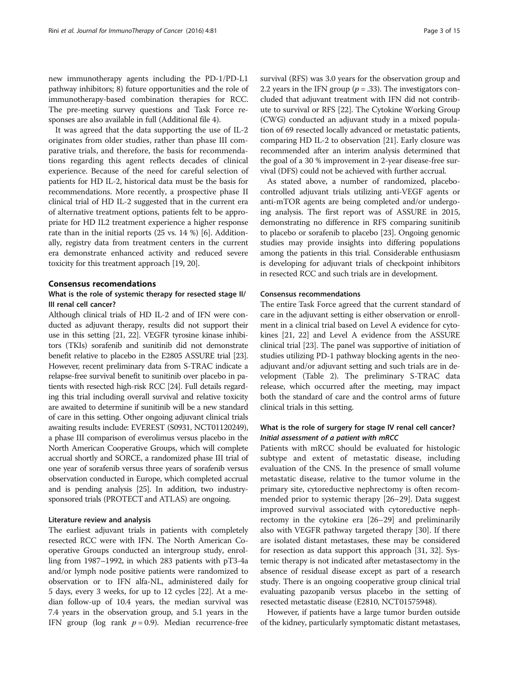new immunotherapy agents including the PD-1/PD-L1 pathway inhibitors; 8) future opportunities and the role of immunotherapy-based combination therapies for RCC. The pre-meeting survey questions and Task Force responses are also available in full (Additional file [4](#page-12-0)).

It was agreed that the data supporting the use of IL-2 originates from older studies, rather than phase III comparative trials, and therefore, the basis for recommendations regarding this agent reflects decades of clinical experience. Because of the need for careful selection of patients for HD IL-2, historical data must be the basis for recommendations. More recently, a prospective phase II clinical trial of HD IL-2 suggested that in the current era of alternative treatment options, patients felt to be appropriate for HD IL2 treatment experience a higher response rate than in the initial reports (25 vs. 14 %) [\[6](#page-13-0)]. Additionally, registry data from treatment centers in the current era demonstrate enhanced activity and reduced severe toxicity for this treatment approach [\[19](#page-13-0), [20](#page-13-0)].

## Consensus recomendations

## What is the role of systemic therapy for resected stage II/ III renal cell cancer?

Although clinical trials of HD IL-2 and of IFN were conducted as adjuvant therapy, results did not support their use in this setting [\[21](#page-13-0), [22\]](#page-13-0). VEGFR tyrosine kinase inhibitors (TKIs) sorafenib and sunitinib did not demonstrate benefit relative to placebo in the E2805 ASSURE trial [\[23](#page-13-0)]. However, recent preliminary data from S-TRAC indicate a relapse-free survival benefit to sunitinib over placebo in patients with resected high-risk RCC [\[24](#page-13-0)]. Full details regarding this trial including overall survival and relative toxicity are awaited to determine if sunitinib will be a new standard of care in this setting. Other ongoing adjuvant clinical trials awaiting results include: EVEREST (S0931, NCT01120249), a phase III comparison of everolimus versus placebo in the North American Cooperative Groups, which will complete accrual shortly and SORCE, a randomized phase III trial of one year of sorafenib versus three years of sorafenib versus observation conducted in Europe, which completed accrual and is pending analysis [[25\]](#page-13-0). In addition, two industrysponsored trials (PROTECT and ATLAS) are ongoing.

#### Literature review and analysis

The earliest adjuvant trials in patients with completely resected RCC were with IFN. The North American Cooperative Groups conducted an intergroup study, enrolling from 1987–1992, in which 283 patients with pT3-4a and/or lymph node positive patients were randomized to observation or to IFN alfa-NL, administered daily for 5 days, every 3 weeks, for up to 12 cycles [[22](#page-13-0)]. At a median follow-up of 10.4 years, the median survival was 7.4 years in the observation group, and 5.1 years in the IFN group (log rank  $p = 0.9$ ). Median recurrence-free survival (RFS) was 3.0 years for the observation group and 2.2 years in the IFN group ( $p = .33$ ). The investigators concluded that adjuvant treatment with IFN did not contribute to survival or RFS [[22](#page-13-0)]. The Cytokine Working Group (CWG) conducted an adjuvant study in a mixed population of 69 resected locally advanced or metastatic patients, comparing HD IL-2 to observation [\[21\]](#page-13-0). Early closure was recommended after an interim analysis determined that the goal of a 30 % improvement in 2-year disease-free survival (DFS) could not be achieved with further accrual.

As stated above, a number of randomized, placebocontrolled adjuvant trials utilizing anti-VEGF agents or anti-mTOR agents are being completed and/or undergoing analysis. The first report was of ASSURE in 2015, demonstrating no difference in RFS comparing sunitinib to placebo or sorafenib to placebo [[23](#page-13-0)]. Ongoing genomic studies may provide insights into differing populations among the patients in this trial. Considerable enthusiasm is developing for adjuvant trials of checkpoint inhibitors in resected RCC and such trials are in development.

## Consensus recommendations

The entire Task Force agreed that the current standard of care in the adjuvant setting is either observation or enrollment in a clinical trial based on Level A evidence for cytokines [\[21, 22\]](#page-13-0) and Level A evidence from the ASSURE clinical trial [[23](#page-13-0)]. The panel was supportive of initiation of studies utilizing PD-1 pathway blocking agents in the neoadjuvant and/or adjuvant setting and such trials are in development (Table [2](#page-10-0)). The preliminary S-TRAC data release, which occurred after the meeting, may impact both the standard of care and the control arms of future clinical trials in this setting.

## What is the role of surgery for stage IV renal cell cancer? Initial assessment of a patient with mRCC

Patients with mRCC should be evaluated for histologic subtype and extent of metastatic disease, including evaluation of the CNS. In the presence of small volume metastatic disease, relative to the tumor volume in the primary site, cytoreductive nephrectomy is often recommended prior to systemic therapy [[26](#page-13-0)–[29](#page-13-0)]. Data suggest improved survival associated with cytoreductive nephrectomy in the cytokine era [\[26](#page-13-0)–[29\]](#page-13-0) and preliminarily also with VEGFR pathway targeted therapy [[30](#page-13-0)]. If there are isolated distant metastases, these may be considered for resection as data support this approach [\[31, 32](#page-13-0)]. Systemic therapy is not indicated after metastasectomy in the absence of residual disease except as part of a research study. There is an ongoing cooperative group clinical trial evaluating pazopanib versus placebo in the setting of resected metastatic disease (E2810, NCT01575948).

However, if patients have a large tumor burden outside of the kidney, particularly symptomatic distant metastases,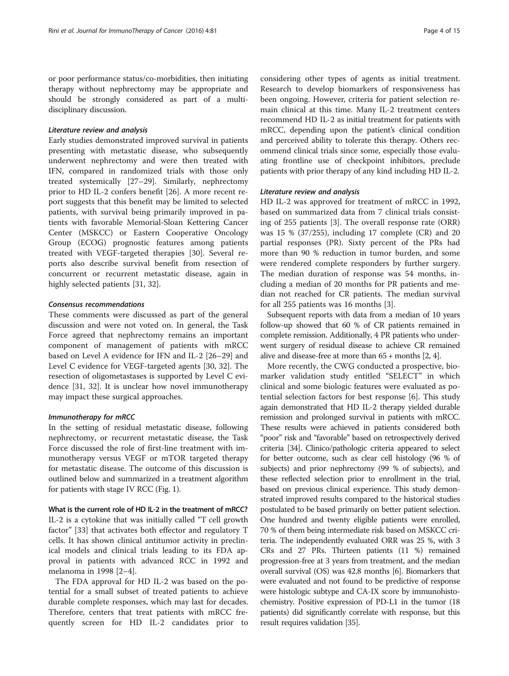or poor performance status/co-morbidities, then initiating therapy without nephrectomy may be appropriate and should be strongly considered as part of a multidisciplinary discussion.

## Literature review and analysis

Early studies demonstrated improved survival in patients presenting with metastatic disease, who subsequently underwent nephrectomy and were then treated with IFN, compared in randomized trials with those only treated systemically [\[27](#page-13-0)–[29\]](#page-13-0). Similarly, nephrectomy prior to HD IL-2 confers benefit [\[26\]](#page-13-0). A more recent report suggests that this benefit may be limited to selected patients, with survival being primarily improved in patients with favorable Memorial-Sloan Kettering Cancer Center (MSKCC) or Eastern Cooperative Oncology Group (ECOG) prognostic features among patients treated with VEGF-targeted therapies [\[30](#page-13-0)]. Several reports also describe survival benefit from resection of concurrent or recurrent metastatic disease, again in highly selected patients [\[31, 32\]](#page-13-0).

## Consensus recommendations

These comments were discussed as part of the general discussion and were not voted on. In general, the Task Force agreed that nephrectomy remains an important component of management of patients with mRCC based on Level A evidence for IFN and IL-2 [[26](#page-13-0)–[29](#page-13-0)] and Level C evidence for VEGF-targeted agents [\[30, 32\]](#page-13-0). The resection of oligometastases is supported by Level C evidence [[31, 32](#page-13-0)]. It is unclear how novel immunotherapy may impact these surgical approaches.

## Immunotherapy for mRCC

In the setting of residual metastatic disease, following nephrectomy, or recurrent metastatic disease, the Task Force discussed the role of first-line treatment with immunotherapy versus VEGF or mTOR targeted therapy for metastatic disease. The outcome of this discussion is outlined below and summarized in a treatment algorithm for patients with stage IV RCC (Fig. [1\)](#page-4-0).

What is the current role of HD IL-2 in the treatment of mRCC? IL-2 is a cytokine that was initially called "T cell growth factor" [\[33](#page-13-0)] that activates both effector and regulatory T cells. It has shown clinical antitumor activity in preclinical models and clinical trials leading to its FDA approval in patients with advanced RCC in 1992 and melanoma in 1998 [[2](#page-12-0)–[4\]](#page-12-0).

The FDA approval for HD IL-2 was based on the potential for a small subset of treated patients to achieve durable complete responses, which may last for decades. Therefore, centers that treat patients with mRCC frequently screen for HD IL-2 candidates prior to considering other types of agents as initial treatment. Research to develop biomarkers of responsiveness has been ongoing. However, criteria for patient selection remain clinical at this time. Many IL-2 treatment centers recommend HD IL-2 as initial treatment for patients with mRCC, depending upon the patient's clinical condition and perceived ability to tolerate this therapy. Others recommend clinical trials since some, especially those evaluating frontline use of checkpoint inhibitors, preclude patients with prior therapy of any kind including HD IL-2.

## Literature review and analysis

HD IL-2 was approved for treatment of mRCC in 1992, based on summarized data from 7 clinical trials consisting of 255 patients [[3\]](#page-12-0). The overall response rate (ORR) was 15 % (37/255), including 17 complete (CR) and 20 partial responses (PR). Sixty percent of the PRs had more than 90 % reduction in tumor burden, and some were rendered complete responders by further surgery. The median duration of response was 54 months, including a median of 20 months for PR patients and median not reached for CR patients. The median survival for all 255 patients was 16 months [[3](#page-12-0)].

Subsequent reports with data from a median of 10 years follow-up showed that 60 % of CR patients remained in complete remission. Additionally, 4 PR patients who underwent surgery of residual disease to achieve CR remained alive and disease-free at more than 65 + months [\[2](#page-12-0), [4](#page-12-0)].

More recently, the CWG conducted a prospective, biomarker validation study entitled "SELECT" in which clinical and some biologic features were evaluated as potential selection factors for best response [\[6](#page-13-0)]. This study again demonstrated that HD IL-2 therapy yielded durable remission and prolonged survival in patients with mRCC. These results were achieved in patients considered both "poor" risk and "favorable" based on retrospectively derived criteria [\[34\]](#page-13-0). Clinico/pathologic criteria appeared to select for better outcome, such as clear cell histology (96 % of subjects) and prior nephrectomy (99 % of subjects), and these reflected selection prior to enrollment in the trial, based on previous clinical experience. This study demonstrated improved results compared to the historical studies postulated to be based primarily on better patient selection. One hundred and twenty eligible patients were enrolled, 70 % of them being intermediate risk based on MSKCC criteria. The independently evaluated ORR was 25 %, with 3 CRs and 27 PRs. Thirteen patients (11 %) remained progression-free at 3 years from treatment, and the median overall survival (OS) was 42.8 months [\[6\]](#page-13-0). Biomarkers that were evaluated and not found to be predictive of response were histologic subtype and CA-IX score by immunohistochemistry. Positive expression of PD-L1 in the tumor (18 patients) did significantly correlate with response, but this result requires validation [\[35](#page-13-0)].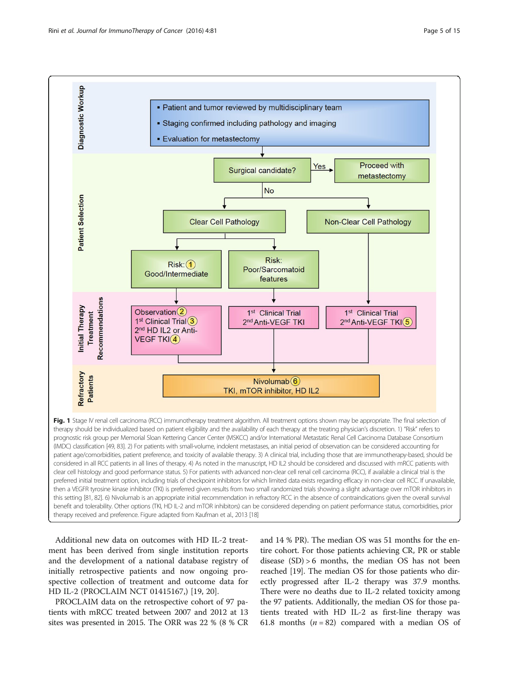<span id="page-4-0"></span>

Additional new data on outcomes with HD IL-2 treatment has been derived from single institution reports and the development of a national database registry of initially retrospective patients and now ongoing prospective collection of treatment and outcome data for HD IL-2 (PROCLAIM NCT 01415167,) [\[19](#page-13-0), [20](#page-13-0)].

PROCLAIM data on the retrospective cohort of 97 patients with mRCC treated between 2007 and 2012 at 13 sites was presented in 2015. The ORR was 22 % (8 % CR

and 14 % PR). The median OS was 51 months for the entire cohort. For those patients achieving CR, PR or stable disease (SD) > 6 months, the median OS has not been reached [\[19](#page-13-0)]. The median OS for those patients who directly progressed after IL-2 therapy was 37.9 months. There were no deaths due to IL-2 related toxicity among the 97 patients. Additionally, the median OS for those patients treated with HD IL-2 as first-line therapy was 61.8 months  $(n = 82)$  compared with a median OS of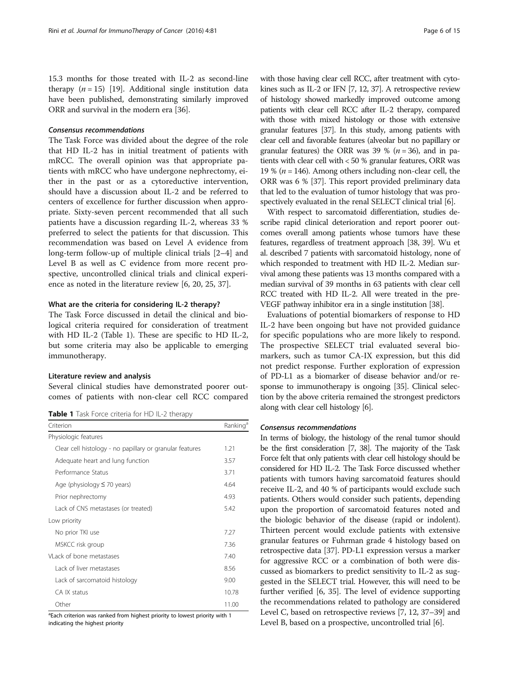<span id="page-5-0"></span>15.3 months for those treated with IL-2 as second-line therapy  $(n = 15)$  [\[19\]](#page-13-0). Additional single institution data have been published, demonstrating similarly improved ORR and survival in the modern era [[36](#page-13-0)].

## Consensus recommendations

The Task Force was divided about the degree of the role that HD IL-2 has in initial treatment of patients with mRCC. The overall opinion was that appropriate patients with mRCC who have undergone nephrectomy, either in the past or as a cytoreductive intervention, should have a discussion about IL-2 and be referred to centers of excellence for further discussion when appropriate. Sixty-seven percent recommended that all such patients have a discussion regarding IL-2, whereas 33 % preferred to select the patients for that discussion. This recommendation was based on Level A evidence from long-term follow-up of multiple clinical trials [[2](#page-12-0)–[4\]](#page-12-0) and Level B as well as C evidence from more recent prospective, uncontrolled clinical trials and clinical experience as noted in the literature review [\[6](#page-13-0), [20](#page-13-0), [25](#page-13-0), [37\]](#page-13-0).

## What are the criteria for considering IL-2 therapy?

The Task Force discussed in detail the clinical and biological criteria required for consideration of treatment with HD IL-2 (Table 1). These are specific to HD IL-2, but some criteria may also be applicable to emerging immunotherapy.

### Literature review and analysis

Several clinical studies have demonstrated poorer outcomes of patients with non-clear cell RCC compared

Table 1 Task Force criteria for HD IL-2 therapy

| Criterion                                                | Ranking <sup>e</sup> |
|----------------------------------------------------------|----------------------|
| Physiologic features                                     |                      |
| Clear cell histology - no papillary or granular features | 1.21                 |
| Adequate heart and lung function                         | 3.57                 |
| Performance Status                                       | 3.71                 |
| Age (physiology $\leq 70$ years)                         | 4.64                 |
| Prior nephrectomy                                        | 4.93                 |
| Lack of CNS metastases (or treated)                      | 5.42                 |
| Low priority                                             |                      |
| No prior TKI use                                         | 7.27                 |
| MSKCC risk group                                         | 7.36                 |
| VLack of bone metastases                                 | 7.40                 |
| Lack of liver metastases                                 | 8.56                 |
| Lack of sarcomatoid histology                            | 9.00                 |
| CA IX status                                             | 10.78                |
| Other                                                    | 11.00                |

<sup>a</sup>Each criterion was ranked from highest priority to lowest priority with 1 indicating the highest priority

with those having clear cell RCC, after treatment with cytokines such as IL-2 or IFN [[7](#page-13-0), [12](#page-13-0), [37\]](#page-13-0). A retrospective review of histology showed markedly improved outcome among patients with clear cell RCC after IL-2 therapy, compared with those with mixed histology or those with extensive granular features [\[37](#page-13-0)]. In this study, among patients with clear cell and favorable features (alveolar but no papillary or granular features) the ORR was 39 % ( $n = 36$ ), and in patients with clear cell with < 50 % granular features, ORR was 19 % ( $n = 146$ ). Among others including non-clear cell, the ORR was 6 % [[37](#page-13-0)]. This report provided preliminary data that led to the evaluation of tumor histology that was prospectively evaluated in the renal SELECT clinical trial [\[6](#page-13-0)].

With respect to sarcomatoid differentiation, studies describe rapid clinical deterioration and report poorer outcomes overall among patients whose tumors have these features, regardless of treatment approach [[38, 39\]](#page-13-0). Wu et al. described 7 patients with sarcomatoid histology, none of which responded to treatment with HD IL-2. Median survival among these patients was 13 months compared with a median survival of 39 months in 63 patients with clear cell RCC treated with HD IL-2. All were treated in the pre-VEGF pathway inhibitor era in a single institution [\[38\]](#page-13-0).

Evaluations of potential biomarkers of response to HD IL-2 have been ongoing but have not provided guidance for specific populations who are more likely to respond. The prospective SELECT trial evaluated several biomarkers, such as tumor CA-IX expression, but this did not predict response. Further exploration of expression of PD-L1 as a biomarker of disease behavior and/or response to immunotherapy is ongoing [\[35](#page-13-0)]. Clinical selection by the above criteria remained the strongest predictors along with clear cell histology [[6\]](#page-13-0).

## Consensus recommendations

In terms of biology, the histology of the renal tumor should be the first consideration [\[7, 38](#page-13-0)]. The majority of the Task Force felt that only patients with clear cell histology should be considered for HD IL-2. The Task Force discussed whether patients with tumors having sarcomatoid features should receive IL-2, and 40 % of participants would exclude such patients. Others would consider such patients, depending upon the proportion of sarcomatoid features noted and the biologic behavior of the disease (rapid or indolent). Thirteen percent would exclude patients with extensive granular features or Fuhrman grade 4 histology based on retrospective data [\[37\]](#page-13-0). PD-L1 expression versus a marker for aggressive RCC or a combination of both were discussed as biomarkers to predict sensitivity to IL-2 as suggested in the SELECT trial. However, this will need to be further verified [\[6](#page-13-0), [35\]](#page-13-0). The level of evidence supporting the recommendations related to pathology are considered Level C, based on retrospective reviews [[7](#page-13-0), [12, 37](#page-13-0)–[39\]](#page-13-0) and Level B, based on a prospective, uncontrolled trial [[6\]](#page-13-0).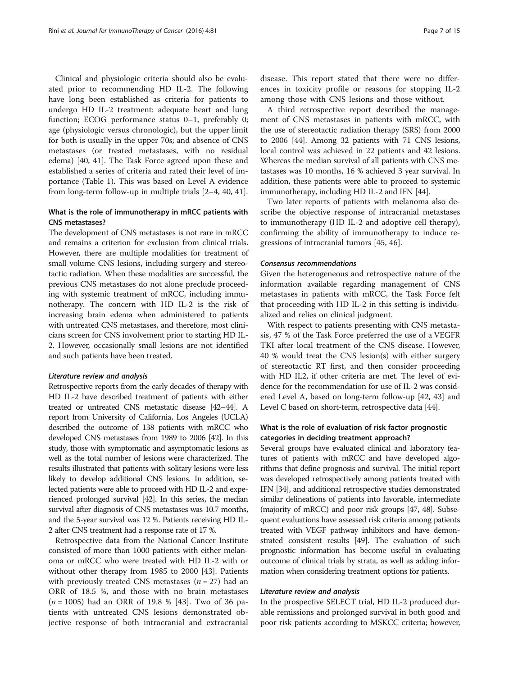Clinical and physiologic criteria should also be evaluated prior to recommending HD IL-2. The following have long been established as criteria for patients to undergo HD IL-2 treatment: adequate heart and lung function; ECOG performance status 0–1, preferably 0; age (physiologic versus chronologic), but the upper limit for both is usually in the upper 70s; and absence of CNS metastases (or treated metastases, with no residual edema) [\[40](#page-13-0), [41\]](#page-13-0). The Task Force agreed upon these and established a series of criteria and rated their level of importance (Table [1\)](#page-5-0). This was based on Level A evidence from long-term follow-up in multiple trials [\[2](#page-12-0)–[4](#page-12-0), [40](#page-13-0), [41\]](#page-13-0).

## What is the role of immunotherapy in mRCC patients with CNS metastases?

The development of CNS metastases is not rare in mRCC and remains a criterion for exclusion from clinical trials. However, there are multiple modalities for treatment of small volume CNS lesions, including surgery and stereotactic radiation. When these modalities are successful, the previous CNS metastases do not alone preclude proceeding with systemic treatment of mRCC, including immunotherapy. The concern with HD IL-2 is the risk of increasing brain edema when administered to patients with untreated CNS metastases, and therefore, most clinicians screen for CNS involvement prior to starting HD IL-2. However, occasionally small lesions are not identified and such patients have been treated.

#### Literature review and analysis

Retrospective reports from the early decades of therapy with HD IL-2 have described treatment of patients with either treated or untreated CNS metastatic disease [\[42](#page-13-0)–[44](#page-13-0)]. A report from University of California, Los Angeles (UCLA) described the outcome of 138 patients with mRCC who developed CNS metastases from 1989 to 2006 [\[42](#page-13-0)]. In this study, those with symptomatic and asymptomatic lesions as well as the total number of lesions were characterized. The results illustrated that patients with solitary lesions were less likely to develop additional CNS lesions. In addition, selected patients were able to proceed with HD IL-2 and experienced prolonged survival [\[42\]](#page-13-0). In this series, the median survival after diagnosis of CNS metastases was 10.7 months, and the 5-year survival was 12 %. Patients receiving HD IL-2 after CNS treatment had a response rate of 17 %.

Retrospective data from the National Cancer Institute consisted of more than 1000 patients with either melanoma or mRCC who were treated with HD IL-2 with or without other therapy from 1985 to 2000 [[43\]](#page-13-0). Patients with previously treated CNS metastases ( $n = 27$ ) had an ORR of 18.5 %, and those with no brain metastases  $(n = 1005)$  had an ORR of 19.8 % [\[43](#page-13-0)]. Two of 36 patients with untreated CNS lesions demonstrated objective response of both intracranial and extracranial

disease. This report stated that there were no differences in toxicity profile or reasons for stopping IL-2 among those with CNS lesions and those without.

A third retrospective report described the management of CNS metastases in patients with mRCC, with the use of stereotactic radiation therapy (SRS) from 2000 to 2006 [[44](#page-13-0)]. Among 32 patients with 71 CNS lesions, local control was achieved in 22 patients and 42 lesions. Whereas the median survival of all patients with CNS metastases was 10 months, 16 % achieved 3 year survival. In addition, these patients were able to proceed to systemic immunotherapy, including HD IL-2 and IFN [\[44\]](#page-13-0).

Two later reports of patients with melanoma also describe the objective response of intracranial metastases to immunotherapy (HD IL-2 and adoptive cell therapy), confirming the ability of immunotherapy to induce regressions of intracranial tumors [[45, 46](#page-13-0)].

#### Consensus recommendations

Given the heterogeneous and retrospective nature of the information available regarding management of CNS metastases in patients with mRCC, the Task Force felt that proceeding with HD IL-2 in this setting is individualized and relies on clinical judgment.

With respect to patients presenting with CNS metastasis, 47 % of the Task Force preferred the use of a VEGFR TKI after local treatment of the CNS disease. However, 40 % would treat the CNS lesion(s) with either surgery of stereotactic RT first, and then consider proceeding with HD IL2, if other criteria are met. The level of evidence for the recommendation for use of IL-2 was considered Level A, based on long-term follow-up [\[42, 43](#page-13-0)] and Level C based on short-term, retrospective data [\[44\]](#page-13-0).

## What is the role of evaluation of risk factor prognostic categories in deciding treatment approach?

Several groups have evaluated clinical and laboratory features of patients with mRCC and have developed algorithms that define prognosis and survival. The initial report was developed retrospectively among patients treated with IFN [\[34](#page-13-0)], and additional retrospective studies demonstrated similar delineations of patients into favorable, intermediate (majority of mRCC) and poor risk groups [\[47, 48\]](#page-14-0). Subsequent evaluations have assessed risk criteria among patients treated with VEGF pathway inhibitors and have demonstrated consistent results [[49](#page-14-0)]. The evaluation of such prognostic information has become useful in evaluating outcome of clinical trials by strata, as well as adding information when considering treatment options for patients.

## Literature review and analysis

In the prospective SELECT trial, HD IL-2 produced durable remissions and prolonged survival in both good and poor risk patients according to MSKCC criteria; however,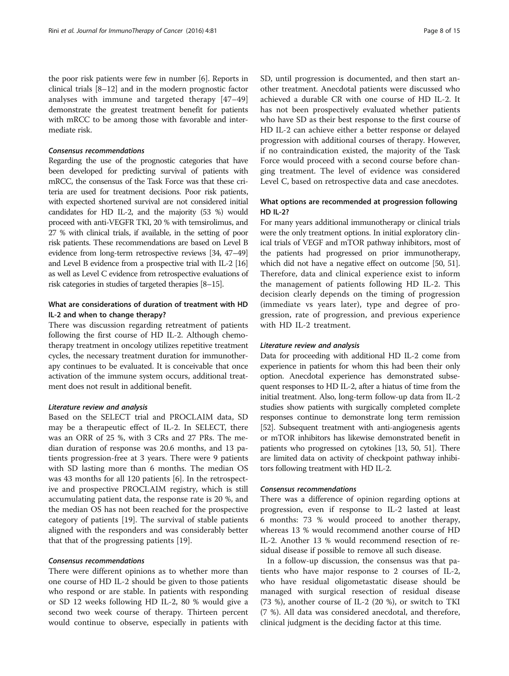the poor risk patients were few in number [\[6](#page-13-0)]. Reports in clinical trials [\[8](#page-13-0)–[12\]](#page-13-0) and in the modern prognostic factor analyses with immune and targeted therapy [\[47](#page-14-0)–[49](#page-14-0)] demonstrate the greatest treatment benefit for patients with mRCC to be among those with favorable and intermediate risk.

## Consensus recommendations

Regarding the use of the prognostic categories that have been developed for predicting survival of patients with mRCC, the consensus of the Task Force was that these criteria are used for treatment decisions. Poor risk patients, with expected shortened survival are not considered initial candidates for HD IL-2, and the majority (53 %) would proceed with anti-VEGFR TKI, 20 % with temsirolimus, and 27 % with clinical trials, if available, in the setting of poor risk patients. These recommendations are based on Level B evidence from long-term retrospective reviews [\[34](#page-13-0), [47](#page-14-0)–[49](#page-14-0)] and Level B evidence from a prospective trial with IL-2 [\[16](#page-13-0)] as well as Level C evidence from retrospective evaluations of risk categories in studies of targeted therapies [\[8](#page-13-0)–[15](#page-13-0)].

## What are considerations of duration of treatment with HD IL-2 and when to change therapy?

There was discussion regarding retreatment of patients following the first course of HD IL-2. Although chemotherapy treatment in oncology utilizes repetitive treatment cycles, the necessary treatment duration for immunotherapy continues to be evaluated. It is conceivable that once activation of the immune system occurs, additional treatment does not result in additional benefit.

## Literature review and analysis

Based on the SELECT trial and PROCLAIM data, SD may be a therapeutic effect of IL-2. In SELECT, there was an ORR of 25 %, with 3 CRs and 27 PRs. The median duration of response was 20.6 months, and 13 patients progression-free at 3 years. There were 9 patients with SD lasting more than 6 months. The median OS was 43 months for all 120 patients [\[6](#page-13-0)]. In the retrospective and prospective PROCLAIM registry, which is still accumulating patient data, the response rate is 20 %, and the median OS has not been reached for the prospective category of patients [\[19](#page-13-0)]. The survival of stable patients aligned with the responders and was considerably better that that of the progressing patients [[19\]](#page-13-0).

### Consensus recommendations

There were different opinions as to whether more than one course of HD IL-2 should be given to those patients who respond or are stable. In patients with responding or SD 12 weeks following HD IL-2, 80 % would give a second two week course of therapy. Thirteen percent would continue to observe, especially in patients with SD, until progression is documented, and then start another treatment. Anecdotal patients were discussed who achieved a durable CR with one course of HD IL-2. It has not been prospectively evaluated whether patients who have SD as their best response to the first course of HD IL-2 can achieve either a better response or delayed progression with additional courses of therapy. However, if no contraindication existed, the majority of the Task Force would proceed with a second course before changing treatment. The level of evidence was considered Level C, based on retrospective data and case anecdotes.

## What options are recommended at progression following HD IL-2?

For many years additional immunotherapy or clinical trials were the only treatment options. In initial exploratory clinical trials of VEGF and mTOR pathway inhibitors, most of the patients had progressed on prior immunotherapy, which did not have a negative effect on outcome [\[50](#page-14-0), [51](#page-14-0)]. Therefore, data and clinical experience exist to inform the management of patients following HD IL-2. This decision clearly depends on the timing of progression (immediate vs years later), type and degree of progression, rate of progression, and previous experience with HD IL-2 treatment.

#### Literature review and analysis

Data for proceeding with additional HD IL-2 come from experience in patients for whom this had been their only option. Anecdotal experience has demonstrated subsequent responses to HD IL-2, after a hiatus of time from the initial treatment. Also, long-term follow-up data from IL-2 studies show patients with surgically completed complete responses continue to demonstrate long term remission [[52](#page-14-0)]. Subsequent treatment with anti-angiogenesis agents or mTOR inhibitors has likewise demonstrated benefit in patients who progressed on cytokines [\[13,](#page-13-0) [50](#page-14-0), [51\]](#page-14-0). There are limited data on activity of checkpoint pathway inhibitors following treatment with HD IL-2.

## Consensus recommendations

There was a difference of opinion regarding options at progression, even if response to IL-2 lasted at least 6 months: 73 % would proceed to another therapy, whereas 13 % would recommend another course of HD IL-2. Another 13 % would recommend resection of residual disease if possible to remove all such disease.

In a follow-up discussion, the consensus was that patients who have major response to 2 courses of IL-2, who have residual oligometastatic disease should be managed with surgical resection of residual disease (73 %), another course of IL-2 (20 %), or switch to TKI (7 %). All data was considered anecdotal, and therefore, clinical judgment is the deciding factor at this time.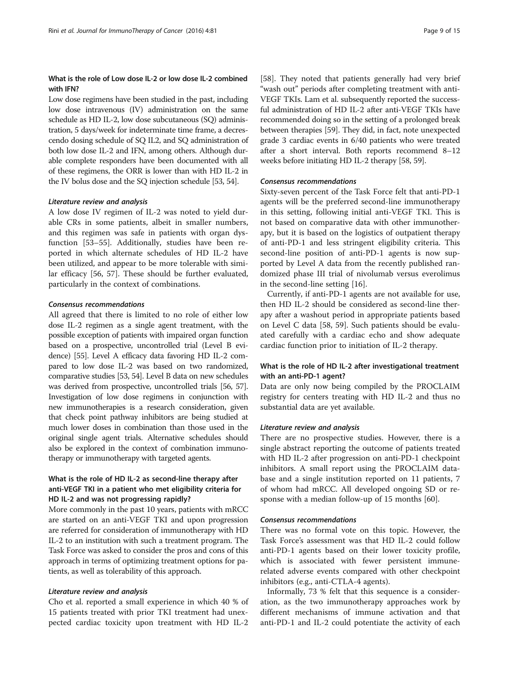## What is the role of Low dose IL-2 or low dose IL-2 combined with IFN?

Low dose regimens have been studied in the past, including low dose intravenous (IV) administration on the same schedule as HD IL-2, low dose subcutaneous (SQ) administration, 5 days/week for indeterminate time frame, a decrescendo dosing schedule of SQ IL2, and SQ administration of both low dose IL-2 and IFN, among others. Although durable complete responders have been documented with all of these regimens, the ORR is lower than with HD IL-2 in the IV bolus dose and the SQ injection schedule [\[53, 54\]](#page-14-0).

## Literature review and analysis

A low dose IV regimen of IL-2 was noted to yield durable CRs in some patients, albeit in smaller numbers, and this regimen was safe in patients with organ dysfunction [\[53](#page-14-0)–[55\]](#page-14-0). Additionally, studies have been reported in which alternate schedules of HD IL-2 have been utilized, and appear to be more tolerable with similar efficacy [[56, 57\]](#page-14-0). These should be further evaluated, particularly in the context of combinations.

## Consensus recommendations

All agreed that there is limited to no role of either low dose IL-2 regimen as a single agent treatment, with the possible exception of patients with impaired organ function based on a prospective, uncontrolled trial (Level B evidence) [\[55\]](#page-14-0). Level A efficacy data favoring HD IL-2 compared to low dose IL-2 was based on two randomized, comparative studies [\[53](#page-14-0), [54](#page-14-0)]. Level B data on new schedules was derived from prospective, uncontrolled trials [[56](#page-14-0), [57](#page-14-0)]. Investigation of low dose regimens in conjunction with new immunotherapies is a research consideration, given that check point pathway inhibitors are being studied at much lower doses in combination than those used in the original single agent trials. Alternative schedules should also be explored in the context of combination immunotherapy or immunotherapy with targeted agents.

## What is the role of HD IL-2 as second-line therapy after anti-VEGF TKI in a patient who met eligibility criteria for HD IL-2 and was not progressing rapidly?

More commonly in the past 10 years, patients with mRCC are started on an anti-VEGF TKI and upon progression are referred for consideration of immunotherapy with HD IL-2 to an institution with such a treatment program. The Task Force was asked to consider the pros and cons of this approach in terms of optimizing treatment options for patients, as well as tolerability of this approach.

## Literature review and analysis

Cho et al. reported a small experience in which 40 % of 15 patients treated with prior TKI treatment had unexpected cardiac toxicity upon treatment with HD IL-2

[[58\]](#page-14-0). They noted that patients generally had very brief "wash out" periods after completing treatment with anti-VEGF TKIs. Lam et al. subsequently reported the successful administration of HD IL-2 after anti-VEGF TKIs have recommended doing so in the setting of a prolonged break between therapies [[59\]](#page-14-0). They did, in fact, note unexpected grade 3 cardiac events in 6/40 patients who were treated after a short interval. Both reports recommend 8–12 weeks before initiating HD IL-2 therapy [[58](#page-14-0), [59\]](#page-14-0).

## Consensus recommendations

Sixty-seven percent of the Task Force felt that anti-PD-1 agents will be the preferred second-line immunotherapy in this setting, following initial anti-VEGF TKI. This is not based on comparative data with other immunotherapy, but it is based on the logistics of outpatient therapy of anti-PD-1 and less stringent eligibility criteria. This second-line position of anti-PD-1 agents is now supported by Level A data from the recently published randomized phase III trial of nivolumab versus everolimus in the second-line setting [[16](#page-13-0)].

Currently, if anti-PD-1 agents are not available for use, then HD IL-2 should be considered as second-line therapy after a washout period in appropriate patients based on Level C data [\[58](#page-14-0), [59](#page-14-0)]. Such patients should be evaluated carefully with a cardiac echo and show adequate cardiac function prior to initiation of IL-2 therapy.

## What is the role of HD IL-2 after investigational treatment with an anti-PD-1 agent?

Data are only now being compiled by the PROCLAIM registry for centers treating with HD IL-2 and thus no substantial data are yet available.

## Literature review and analysis

There are no prospective studies. However, there is a single abstract reporting the outcome of patients treated with HD IL-2 after progression on anti-PD-1 checkpoint inhibitors. A small report using the PROCLAIM database and a single institution reported on 11 patients, 7 of whom had mRCC. All developed ongoing SD or response with a median follow-up of 15 months [[60](#page-14-0)].

#### Consensus recommendations

There was no formal vote on this topic. However, the Task Force's assessment was that HD IL-2 could follow anti-PD-1 agents based on their lower toxicity profile, which is associated with fewer persistent immunerelated adverse events compared with other checkpoint inhibitors (e.g., anti-CTLA-4 agents).

Informally, 73 % felt that this sequence is a consideration, as the two immunotherapy approaches work by different mechanisms of immune activation and that anti-PD-1 and IL-2 could potentiate the activity of each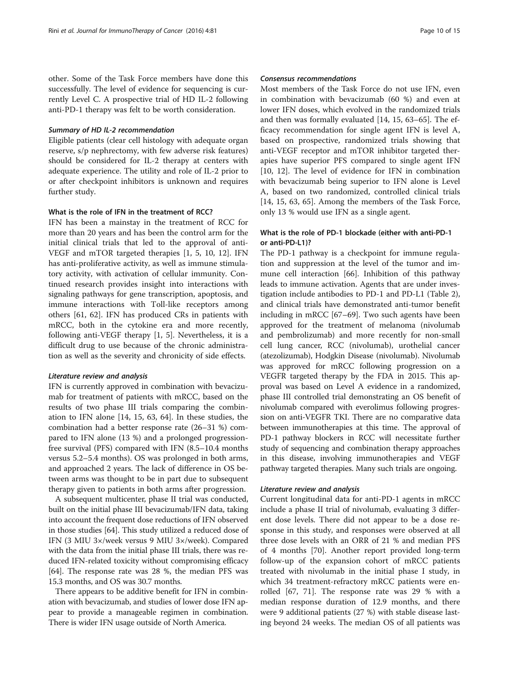other. Some of the Task Force members have done this successfully. The level of evidence for sequencing is currently Level C. A prospective trial of HD IL-2 following anti-PD-1 therapy was felt to be worth consideration.

#### Summary of HD IL-2 recommendation

Eligible patients (clear cell histology with adequate organ reserve, s/p nephrectomy, with few adverse risk features) should be considered for IL-2 therapy at centers with adequate experience. The utility and role of IL-2 prior to or after checkpoint inhibitors is unknown and requires further study.

## What is the role of IFN in the treatment of RCC?

IFN has been a mainstay in the treatment of RCC for more than 20 years and has been the control arm for the initial clinical trials that led to the approval of anti-VEGF and mTOR targeted therapies [[1,](#page-12-0) [5, 10, 12](#page-13-0)]. IFN has anti-proliferative activity, as well as immune stimulatory activity, with activation of cellular immunity. Continued research provides insight into interactions with signaling pathways for gene transcription, apoptosis, and immune interactions with Toll-like receptors among others [\[61](#page-14-0), [62\]](#page-14-0). IFN has produced CRs in patients with mRCC, both in the cytokine era and more recently, following anti-VEGF therapy [\[1](#page-12-0), [5](#page-13-0)]. Nevertheless, it is a difficult drug to use because of the chronic administration as well as the severity and chronicity of side effects.

### Literature review and analysis

IFN is currently approved in combination with bevacizumab for treatment of patients with mRCC, based on the results of two phase III trials comparing the combination to IFN alone [[14, 15](#page-13-0), [63, 64\]](#page-14-0). In these studies, the combination had a better response rate (26–31 %) compared to IFN alone (13 %) and a prolonged progressionfree survival (PFS) compared with IFN (8.5–10.4 months versus 5.2–5.4 months). OS was prolonged in both arms, and approached 2 years. The lack of difference in OS between arms was thought to be in part due to subsequent therapy given to patients in both arms after progression.

A subsequent multicenter, phase II trial was conducted, built on the initial phase III bevacizumab/IFN data, taking into account the frequent dose reductions of IFN observed in those studies [\[64\]](#page-14-0). This study utilized a reduced dose of IFN (3 MIU 3×/week versus 9 MIU 3×/week). Compared with the data from the initial phase III trials, there was reduced IFN-related toxicity without compromising efficacy [[64](#page-14-0)]. The response rate was 28 %, the median PFS was 15.3 months, and OS was 30.7 months.

There appears to be additive benefit for IFN in combination with bevacizumab, and studies of lower dose IFN appear to provide a manageable regimen in combination. There is wider IFN usage outside of North America.

## Consensus recommendations

Most members of the Task Force do not use IFN, even in combination with bevacizumab (60 %) and even at lower IFN doses, which evolved in the randomized trials and then was formally evaluated [\[14](#page-13-0), [15](#page-13-0), [63](#page-14-0)–[65\]](#page-14-0). The efficacy recommendation for single agent IFN is level A, based on prospective, randomized trials showing that anti-VEGF receptor and mTOR inhibitor targeted therapies have superior PFS compared to single agent IFN [[10, 12\]](#page-13-0). The level of evidence for IFN in combination with bevacizumab being superior to IFN alone is Level A, based on two randomized, controlled clinical trials [[14, 15](#page-13-0), [63, 65\]](#page-14-0). Among the members of the Task Force, only 13 % would use IFN as a single agent.

## What is the role of PD-1 blockade (either with anti-PD-1 or anti-PD-L1)?

The PD-1 pathway is a checkpoint for immune regulation and suppression at the level of the tumor and immune cell interaction [\[66](#page-14-0)]. Inhibition of this pathway leads to immune activation. Agents that are under investigation include antibodies to PD-1 and PD-L1 (Table [2](#page-10-0)), and clinical trials have demonstrated anti-tumor benefit including in mRCC [[67](#page-14-0)–[69](#page-14-0)]. Two such agents have been approved for the treatment of melanoma (nivolumab and pembrolizumab) and more recently for non-small cell lung cancer, RCC (nivolumab), urothelial cancer (atezolizumab), Hodgkin Disease (nivolumab). Nivolumab was approved for mRCC following progression on a VEGFR targeted therapy by the FDA in 2015. This approval was based on Level A evidence in a randomized, phase III controlled trial demonstrating an OS benefit of nivolumab compared with everolimus following progression on anti-VEGFR TKI. There are no comparative data between immunotherapies at this time. The approval of PD-1 pathway blockers in RCC will necessitate further study of sequencing and combination therapy approaches in this disease, involving immunotherapies and VEGF pathway targeted therapies. Many such trials are ongoing.

## Literature review and analysis

Current longitudinal data for anti-PD-1 agents in mRCC include a phase II trial of nivolumab, evaluating 3 different dose levels. There did not appear to be a dose response in this study, and responses were observed at all three dose levels with an ORR of 21 % and median PFS of 4 months [\[70\]](#page-14-0). Another report provided long-term follow-up of the expansion cohort of mRCC patients treated with nivolumab in the initial phase I study, in which 34 treatment-refractory mRCC patients were enrolled [\[67](#page-14-0), [71\]](#page-14-0). The response rate was 29 % with a median response duration of 12.9 months, and there were 9 additional patients (27 %) with stable disease lasting beyond 24 weeks. The median OS of all patients was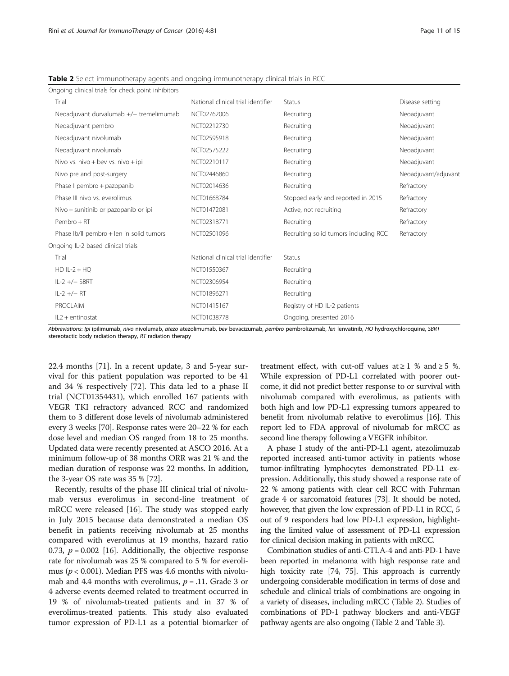| Page 11 of |  |
|------------|--|
|            |  |

| Ongoing clinical trials for check point inhibitors |                                                     |                                                     |                      |
|----------------------------------------------------|-----------------------------------------------------|-----------------------------------------------------|----------------------|
| Trial                                              | National clinical trial identifier<br><b>Status</b> |                                                     | Disease setting      |
| Neoadjuvant durvalumab +/- tremelimumab            | NCT02762006<br>Recruiting                           |                                                     | Neoadjuvant          |
| Neoadjuvant pembro                                 | NCT02212730<br>Recruiting                           |                                                     | Neoadjuvant          |
| Neoadjuvant nivolumab                              | NCT02595918<br>Recruiting                           |                                                     | Neoadjuvant          |
| Neoadjuvant nivolumab                              | NCT02575222                                         | Recruiting                                          |                      |
| Nivo vs. nivo + bev vs. nivo + ipi                 | NCT02210117                                         | Recruiting                                          | Neoadjuvant          |
| Nivo pre and post-surgery                          | NCT02446860                                         | Recruiting                                          | Neoadjuvant/adjuvant |
| Phase I pembro + pazopanib                         | NCT02014636<br>Recruiting                           |                                                     | Refractory           |
| Phase III nivo vs. everolimus                      | NCT01668784                                         | Stopped early and reported in 2015                  | Refractory           |
| Nivo + sunitinib or pazopanib or ipi               | NCT01472081                                         | Active, not recruiting                              | Refractory           |
| Pembro + RT                                        | NCT02318771                                         | Recruiting                                          |                      |
| Phase Ib/II pembro + len in solid tumors           | NCT02501096                                         | Recruiting solid tumors including RCC<br>Refractory |                      |
| Ongoing IL-2 based clinical trials                 |                                                     |                                                     |                      |
| Trial                                              | National clinical trial identifier                  | <b>Status</b>                                       |                      |
| $HD IL-2 + HQ$                                     | NCT01550367                                         | Recruiting                                          |                      |
| $IL-2 + / - SBRT$                                  | NCT02306954                                         | Recruiting                                          |                      |
| $IL-2 + / - RT$                                    | NCT01896271                                         | Recruiting                                          |                      |
| <b>PROCLAIM</b>                                    | NCT01415167                                         | Registry of HD IL-2 patients                        |                      |
| $IL2 + entinostat$                                 | NCT01038778                                         | Ongoing, presented 2016                             |                      |
|                                                    |                                                     |                                                     |                      |

<span id="page-10-0"></span>Table 2 Select immunotherapy agents and ongoing immunotherapy clinical trials in RCC

Abbreviations: Ipi ipilimumab, nivo nivolumab, atezo atezolimumab, bev bevacizumab, pembro pembrolizumab, len lenvatinib, HQ hydroxychloroquine, SBRT stereotactic body radiation therapy, RT radiation therapy

22.4 months [\[71](#page-14-0)]. In a recent update, 3 and 5-year survival for this patient population was reported to be 41 and 34 % respectively [[72\]](#page-14-0). This data led to a phase II trial (NCT01354431), which enrolled 167 patients with VEGR TKI refractory advanced RCC and randomized them to 3 different dose levels of nivolumab administered every 3 weeks [\[70](#page-14-0)]. Response rates were 20–22 % for each dose level and median OS ranged from 18 to 25 months. Updated data were recently presented at ASCO 2016. At a minimum follow-up of 38 months ORR was 21 % and the median duration of response was 22 months. In addition, the 3-year OS rate was 35 % [[72](#page-14-0)].

Recently, results of the phase III clinical trial of nivolumab versus everolimus in second-line treatment of mRCC were released [\[16](#page-13-0)]. The study was stopped early in July 2015 because data demonstrated a median OS benefit in patients receiving nivolumab at 25 months compared with everolimus at 19 months, hazard ratio 0.73,  $p = 0.002$  [\[16](#page-13-0)]. Additionally, the objective response rate for nivolumab was 25 % compared to 5 % for everolimus ( $p < 0.001$ ). Median PFS was 4.6 months with nivolumab and 4.4 months with everolimus,  $p = .11$ . Grade 3 or 4 adverse events deemed related to treatment occurred in 19 % of nivolumab-treated patients and in 37 % of everolimus-treated patients. This study also evaluated tumor expression of PD-L1 as a potential biomarker of treatment effect, with cut-off values at  $\geq 1$  % and  $\geq 5$  %. While expression of PD-L1 correlated with poorer outcome, it did not predict better response to or survival with nivolumab compared with everolimus, as patients with both high and low PD-L1 expressing tumors appeared to benefit from nivolumab relative to everolimus [[16\]](#page-13-0). This report led to FDA approval of nivolumab for mRCC as second line therapy following a VEGFR inhibitor.

A phase I study of the anti-PD-L1 agent, atezolimuzab reported increased anti-tumor activity in patients whose tumor-infiltrating lymphocytes demonstrated PD-L1 expression. Additionally, this study showed a response rate of 22 % among patients with clear cell RCC with Fuhrman grade 4 or sarcomatoid features [[73](#page-14-0)]. It should be noted, however, that given the low expression of PD-L1 in RCC, 5 out of 9 responders had low PD-L1 expression, highlighting the limited value of assessment of PD-L1 expression for clinical decision making in patients with mRCC.

Combination studies of anti-CTLA-4 and anti-PD-1 have been reported in melanoma with high response rate and high toxicity rate [[74](#page-14-0), [75\]](#page-14-0). This approach is currently undergoing considerable modification in terms of dose and schedule and clinical trials of combinations are ongoing in a variety of diseases, including mRCC (Table 2). Studies of combinations of PD-1 pathway blockers and anti-VEGF pathway agents are also ongoing (Table 2 and Table [3](#page-11-0)).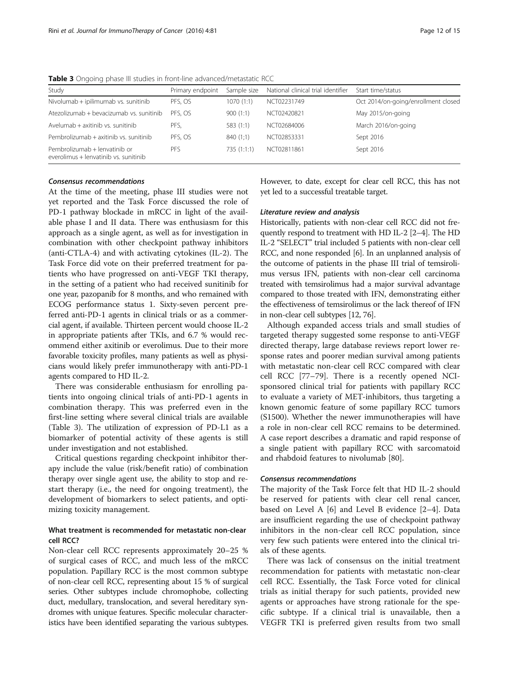| Study                                                                  | Primary endpoint | Sample size | National clinical trial identifier | Start time/status                   |
|------------------------------------------------------------------------|------------------|-------------|------------------------------------|-------------------------------------|
| Nivolumab + ipilimumab vs. sunitinib                                   | PFS. OS          | 1070(1:1)   | NCT02231749                        | Oct 2014/on-going/enrollment closed |
| Atezolizumab + bevacizumab vs. sunitinib                               | PFS. OS          | 900(1:1)    | NCT02420821                        | May 2015/on-going                   |
| Avelumab + axitinib vs. sunitinib                                      | PFS.             | 583(1:1)    | NCT02684006                        | March 2016/on-going                 |
| Pembrolizumab + axitinib vs. sunitinib                                 | PFS. OS          | 840(1;1)    | NCT02853331                        | Sept 2016                           |
| Pembrolizumab + lenvatinib or<br>everolimus + lenvatinib vs. sunitinib | PFS              | 735(1:1:1)  | NCT02811861                        | Sept 2016                           |

<span id="page-11-0"></span>Table 3 Ongoing phase III studies in front-line advanced/metastatic RCC

## Consensus recommendations

At the time of the meeting, phase III studies were not yet reported and the Task Force discussed the role of PD-1 pathway blockade in mRCC in light of the available phase I and II data. There was enthusiasm for this approach as a single agent, as well as for investigation in combination with other checkpoint pathway inhibitors (anti-CTLA-4) and with activating cytokines (IL-2). The Task Force did vote on their preferred treatment for patients who have progressed on anti-VEGF TKI therapy, in the setting of a patient who had received sunitinib for one year, pazopanib for 8 months, and who remained with ECOG performance status 1. Sixty-seven percent preferred anti-PD-1 agents in clinical trials or as a commercial agent, if available. Thirteen percent would choose IL-2 in appropriate patients after TKIs, and 6.7 % would recommend either axitinib or everolimus. Due to their more favorable toxicity profiles, many patients as well as physicians would likely prefer immunotherapy with anti-PD-1 agents compared to HD IL-2.

There was considerable enthusiasm for enrolling patients into ongoing clinical trials of anti-PD-1 agents in combination therapy. This was preferred even in the first-line setting where several clinical trials are available (Table 3). The utilization of expression of PD-L1 as a biomarker of potential activity of these agents is still under investigation and not established.

Critical questions regarding checkpoint inhibitor therapy include the value (risk/benefit ratio) of combination therapy over single agent use, the ability to stop and restart therapy (i.e., the need for ongoing treatment), the development of biomarkers to select patients, and optimizing toxicity management.

## What treatment is recommended for metastatic non-clear cell RCC?

Non-clear cell RCC represents approximately 20–25 % of surgical cases of RCC, and much less of the mRCC population. Papillary RCC is the most common subtype of non-clear cell RCC, representing about 15 % of surgical series. Other subtypes include chromophobe, collecting duct, medullary, translocation, and several hereditary syndromes with unique features. Specific molecular characteristics have been identified separating the various subtypes. However, to date, except for clear cell RCC, this has not yet led to a successful treatable target.

## Literature review and analysis

Historically, patients with non-clear cell RCC did not frequently respond to treatment with HD IL-2 [[2](#page-12-0)–[4\]](#page-12-0). The HD IL-2 "SELECT" trial included 5 patients with non-clear cell RCC, and none responded [\[6\]](#page-13-0). In an unplanned analysis of the outcome of patients in the phase III trial of temsirolimus versus IFN, patients with non-clear cell carcinoma treated with temsirolimus had a major survival advantage compared to those treated with IFN, demonstrating either the effectiveness of temsirolimus or the lack thereof of IFN in non-clear cell subtypes [\[12](#page-13-0), [76\]](#page-14-0).

Although expanded access trials and small studies of targeted therapy suggested some response to anti-VEGF directed therapy, large database reviews report lower response rates and poorer median survival among patients with metastatic non-clear cell RCC compared with clear cell RCC [\[77](#page-14-0)–[79\]](#page-14-0). There is a recently opened NCIsponsored clinical trial for patients with papillary RCC to evaluate a variety of MET-inhibitors, thus targeting a known genomic feature of some papillary RCC tumors (S1500). Whether the newer immunotherapies will have a role in non-clear cell RCC remains to be determined. A case report describes a dramatic and rapid response of a single patient with papillary RCC with sarcomatoid and rhabdoid features to nivolumab [[80](#page-14-0)].

#### Consensus recommendations

The majority of the Task Force felt that HD IL-2 should be reserved for patients with clear cell renal cancer, based on Level A [[6\]](#page-13-0) and Level B evidence [\[2](#page-12-0)–[4](#page-12-0)]. Data are insufficient regarding the use of checkpoint pathway inhibitors in the non-clear cell RCC population, since very few such patients were entered into the clinical trials of these agents.

There was lack of consensus on the initial treatment recommendation for patients with metastatic non-clear cell RCC. Essentially, the Task Force voted for clinical trials as initial therapy for such patients, provided new agents or approaches have strong rationale for the specific subtype. If a clinical trial is unavailable, then a VEGFR TKI is preferred given results from two small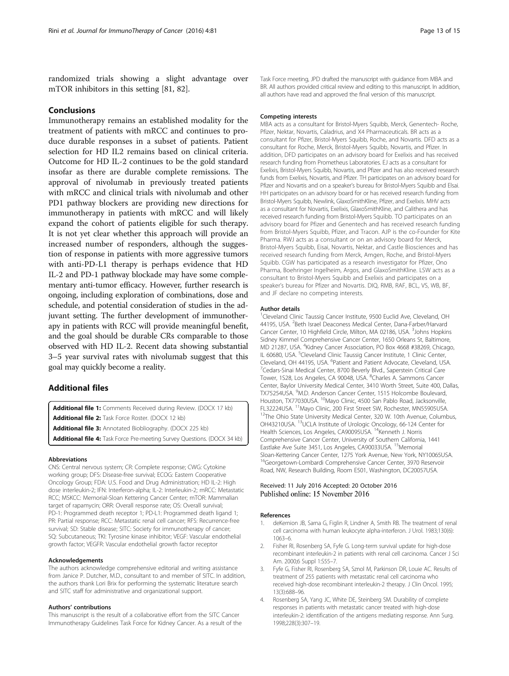<span id="page-12-0"></span>randomized trials showing a slight advantage over mTOR inhibitors in this setting [\[81](#page-14-0), [82\]](#page-14-0).

## Conclusions

Immunotherapy remains an established modality for the treatment of patients with mRCC and continues to produce durable responses in a subset of patients. Patient selection for HD IL2 remains based on clinical criteria. Outcome for HD IL-2 continues to be the gold standard insofar as there are durable complete remissions. The approval of nivolumab in previously treated patients with mRCC and clinical trials with nivolumab and other PD1 pathway blockers are providing new directions for immunotherapy in patients with mRCC and will likely expand the cohort of patients eligible for such therapy. It is not yet clear whether this approach will provide an increased number of responders, although the suggestion of response in patients with more aggressive tumors with anti-PD-L1 therapy is perhaps evidence that HD IL-2 and PD-1 pathway blockade may have some complementary anti-tumor efficacy. However, further research is ongoing, including exploration of combinations, dose and schedule, and potential consideration of studies in the adjuvant setting. The further development of immunotherapy in patients with RCC will provide meaningful benefit, and the goal should be durable CRs comparable to those observed with HD IL-2. Recent data showing substantial 3–5 year survival rates with nivolumab suggest that this goal may quickly become a reality.

## Additional files

[Additional file 1:](dx.doi.org/10.1186/s40425-016-0180-7) Comments Received during Review. (DOCX 17 kb) [Additional file 2:](dx.doi.org/10.1186/s40425-016-0180-7) Task Force Roster. (DOCX 12 kb)

[Additional file 3:](dx.doi.org/10.1186/s40425-016-0180-7) Annotated Biobliography. (DOCX 225 kb)

[Additional file 4:](dx.doi.org/10.1186/s40425-016-0180-7) Task Force Pre-meeting Survey Questions. (DOCX 34 kb)

#### Abbreviations

CNS: Central nervous system; CR: Complete response; CWG: Cytokine working group; DFS: Disease-free survival; ECOG: Eastern Cooperative Oncology Group; FDA: U.S. Food and Drug Administration; HD IL-2: High dose interleukin-2; IFN: Interferon-alpha; IL-2: Interleukin-2; mRCC: Metastatic RCC; MSKCC: Memorial-Sloan Kettering Cancer Center; mTOR: Mammalian target of rapamycin; ORR: Overall response rate; OS: Overall survival; PD-1: Programmed death receptor 1; PD-L1: Programmed death ligand 1; PR: Partial response; RCC: Metastatic renal cell cancer; RFS: Recurrence-free survival; SD: Stable disease; SITC: Society for immunotherapy of cancer; SQ: Subcutaneous; TKI: Tyrosine kinase inhibitor; VEGF: Vascular endothelial growth factor; VEGFR: Vascular endothelial growth factor receptor

#### Acknowledgements

The authors acknowledge comprehensive editorial and writing assistance from Janice P. Dutcher, M.D., consultant to and member of SITC. In addition, the authors thank Lori Brix for performing the systematic literature search and SITC staff for administrative and organizational support.

#### Authors' contributions

This manuscript is the result of a collaborative effort from the SITC Cancer Immunotherapy Guidelines Task Force for Kidney Cancer. As a result of the Task Force meeting, JPD drafted the manuscript with guidance from MBA and BR. All authors provided critical review and editing to this manuscript. In addition, all authors have read and approved the final version of this manuscript.

#### Competing interests

MBA acts as a consultant for Bristol-Myers Squibb, Merck, Genentech- Roche, Pfizer, Nektar, Novartis, Caladrius, and X4 Pharmaceuticals. BR acts as a consultant for Pfizer, Bristol-Myers Squibb, Roche, and Novartis. DFD acts as a consultant for Roche, Merck, Bristol-Myers Squibb, Novartis, and Pfizer. In addition, DFD participates on an advisory board for Exelixis and has received research funding from Prometheus Laboratories. EJ acts as a consultant for Exelixis, Bristol-Myers Squibb, Novartis, and Pfizer and has also received research funds from Exelixis, Novartis, and Pfizer. TH participates on an advisory board for Pfizer and Novartis and on a speaker's bureau for Bristol-Myers Squibb and Elsai. HH participates on an advisory board for or has received research funding from Bristol-Myers Squibb, Newlink, GlaxoSmithKline, Pfizer, and Exelixis. MHV acts as a consultant for Novartis, Exelixis, GlaxoSmithKline, and Calithera and has received research funding from Bristol-Myers Squibb. TO participates on an advisory board for Pfizer and Genentech and has received research funding from Bristol-Myers Squibb, Pfizer, and Tracon. AJP is the co-Founder for Kite Pharma. RWJ acts as a consultant or on an advisory board for Merck, Bristol-Myers Squibb, Eisai, Novartis, Nektar, and Castle Biosciences and has received research funding from Merck, Amgen, Roche, and Bristol-Myers Squibb. CGW has participated as a research investigator for Pfizer, Ono Pharma, Boehringer Ingelheim, Argos, and GlaxoSmithKline. LSW acts as a consultant to Bristol-Myers Squibb and Exelixis and participates on a speaker's bureau for Pfizer and Novartis. DIQ, RMB, RAF, BCL, VS, WB, BF, and JF declare no competing interests.

#### Author details

<sup>1</sup>Cleveland Clinic Taussig Cancer Institute, 9500 Euclid Ave, Cleveland, OH 44195, USA. <sup>2</sup> Beth Israel Deaconess Medical Center, Dana-Farber/Harvard Cancer Center, 10 Highfield Circle, Milton, MA 02186, USA. <sup>3</sup>Johns Hopkins Sidney Kimmel Comprehensive Cancer Center, 1650 Orleans St, Baltimore, MD 21287, USA. <sup>4</sup> Kidney Cancer Association, PO Box 4668 #38269, Chicago, IL 60680, USA. <sup>5</sup>Cleveland Clinic Taussig Cancer Institute, 1 Clinic Center, Cleveland, OH 44195, USA. <sup>6</sup>Patient and Patient Advocate, Cleveland, USA.<br><sup>7</sup>Codars Sinai Modical Contor, 8700 Boyerly Blyd. Saporttein Critical Caro. <sup>7</sup> Cedars-Sinai Medical Center, 8700 Beverly Blvd., Saperstein Critical Care Tower, 1S28, Los Angeles, CA 90048, USA. <sup>8</sup>Charles A. Sammons Cancer Center, Baylor University Medical Center, 3410 Worth Street, Suite 400, Dallas, TX75254USA. <sup>9</sup>M.D. Anderson Cancer Center, 1515 Holcombe Boulevard, Houston, TX77030USA. <sup>10</sup>Mayo Clinic, 4500 San Pablo Road, Jacksonville, FL32224USA. <sup>11</sup>Mayo Clinic, 200 First Street SW, Rochester, MN55905USA.<br><sup>12</sup>The Ohio State University Medical Center, 320 W. 10th Avenue, Columbus, OH43210USA. 13UCLA Institute of Urologic Oncology, 66-124 Center for Health Sciences, Los Angeles, CA90095USA. 14Kenneth J. Norris Comprehensive Cancer Center, University of Southern California, 1441 Eastlake Ave Suite 3451, Los Angeles, CA90033USA. <sup>15</sup>Memorial Sloan-Kettering Cancer Center, 1275 York Avenue, New York, NY10065USA. 16Georgetown-Lombardi Comprehensive Cancer Center, 3970 Reservoir Road, NW, Research Building, Room E501, Washington, DC20057USA.

## Received: 11 July 2016 Accepted: 20 October 2016 Published online: 15 November 2016

#### References

- 1. deKernion JB, Sarna G, Figlin R, Lindner A, Smith RB. The treatment of renal cell carcinoma with human leukocyte alpha-interferon. J Urol. 1983;130(6): 1063–6.
- 2. Fisher RI, Rosenberg SA, Fyfe G. Long-term survival update for high-dose recombinant interleukin-2 in patients with renal cell carcinoma. Cancer J Sci Am. 2000;6 Suppl 1:S55–7.
- 3. Fyfe G, Fisher RI, Rosenberg SA, Sznol M, Parkinson DR, Louie AC. Results of treatment of 255 patients with metastatic renal cell carcinoma who received high-dose recombinant interleukin-2 therapy. J Clin Oncol. 1995; 13(3):688–96.
- 4. Rosenberg SA, Yang JC, White DE, Steinberg SM. Durability of complete responses in patients with metastatic cancer treated with high-dose interleukin-2: identification of the antigens mediating response. Ann Surg. 1998;228(3):307–19.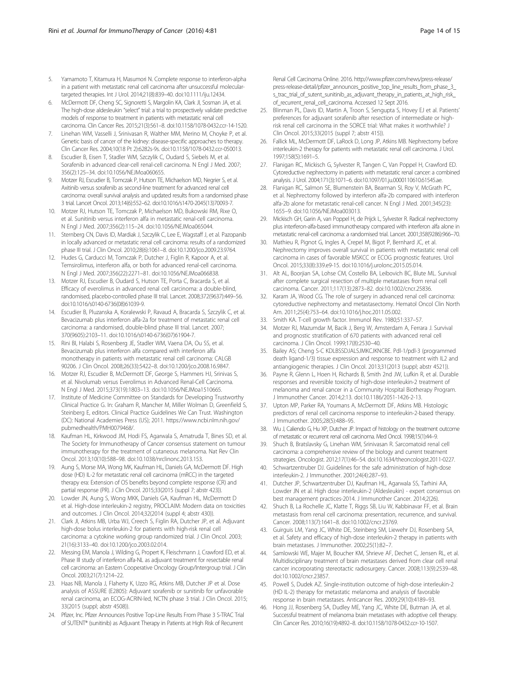- <span id="page-13-0"></span>5. Yamamoto T, Kitamura H, Masumori N. Complete response to interferon-alpha in a patient with metastatic renal cell carcinoma after unsuccessful moleculartargeted therapies. Int J Urol. 2014;21(8):839–40. doi[:10.1111/iju.12434.](http://dx.doi.org/10.1111/iju.12434)
- McDermott DF, Cheng SC, Signoretti S, Margolin KA, Clark JI, Sosman JA, et al. The high-dose aldesleukin "select" trial: a trial to prospectively validate predictive models of response to treatment in patients with metastatic renal cell carcinoma. Clin Cancer Res. 2015;21(3):561–8. doi[:10.1158/1078-0432.ccr-14-1520](http://dx.doi.org/10.1158/1078-0432.ccr-14-1520).
- 7. Linehan WM, Vasselli J, Srinivasan R, Walther MM, Merino M, Choyke P, et al. Genetic basis of cancer of the kidney: disease-specific approaches to therapy. Clin Cancer Res. 2004;10(18 Pt 2):6282s-9s. doi:[10.1158/1078-0432.ccr-050013.](http://dx.doi.org/10.1158/1078-0432.ccr-050013)
- Escudier B, Eisen T, Stadler WM, Szczylik C, Oudard S, Siebels M, et al. Sorafenib in advanced clear-cell renal-cell carcinoma. N Engl J Med. 2007; 356(2):125–34. doi[:10.1056/NEJMoa060655.](http://dx.doi.org/10.1056/NEJMoa060655)
- 9. Motzer RJ, Escudier B, Tomczak P, Hutson TE, Michaelson MD, Negrier S, et al. Axitinib versus sorafenib as second-line treatment for advanced renal cell carcinoma: overall survival analysis and updated results from a randomised phase 3 trial. Lancet Oncol. 2013;14(6):552–62. doi[:10.1016/s1470-2045\(13\)70093-7.](http://dx.doi.org/10.1016/s1470-2045(13)70093-7)
- 10. Motzer RJ, Hutson TE, Tomczak P, Michaelson MD, Bukowski RM, Rixe O, et al. Sunitinib versus interferon alfa in metastatic renal-cell carcinoma. N Engl J Med. 2007;356(2):115–24. doi[:10.1056/NEJMoa065044](http://dx.doi.org/10.1056/NEJMoa065044).
- 11. Sternberg CN, Davis ID, Mardiak J, Szczylik C, Lee E, Wagstaff J, et al. Pazopanib in locally advanced or metastatic renal cell carcinoma: results of a randomized phase III trial. J Clin Oncol. 2010;28(6):1061–8. doi[:10.1200/jco.2009.23.9764](http://dx.doi.org/10.1200/jco.2009.23.9764).
- 12. Hudes G, Carducci M, Tomczak P, Dutcher J, Figlin R, Kapoor A, et al. Temsirolimus, interferon alfa, or both for advanced renal-cell carcinoma. N Engl J Med. 2007;356(22):2271–81. doi[:10.1056/NEJMoa066838](http://dx.doi.org/10.1056/NEJMoa066838).
- 13. Motzer RJ, Escudier B, Oudard S, Hutson TE, Porta C, Bracarda S, et al. Efficacy of everolimus in advanced renal cell carcinoma: a double-blind, randomised, placebo-controlled phase III trial. Lancet. 2008;372(9637):449–56. doi:[10.1016/s0140-6736\(08\)61039-9](http://dx.doi.org/10.1016/s0140-6736(08)61039-9).
- 14. Escudier B, Pluzanska A, Koralewski P, Ravaud A, Bracarda S, Szczylik C, et al. Bevacizumab plus interferon alfa-2a for treatment of metastatic renal cell carcinoma: a randomised, double-blind phase III trial. Lancet. 2007; 370(9605):2103–11. doi[:10.1016/s0140-6736\(07\)61904-7](http://dx.doi.org/10.1016/s0140-6736(07)61904-7).
- 15. Rini BI, Halabi S, Rosenberg JE, Stadler WM, Vaena DA, Ou SS, et al. Bevacizumab plus interferon alfa compared with interferon alfa monotherapy in patients with metastatic renal cell carcinoma: CALGB 90206. J Clin Oncol. 2008;26(33):5422–8. doi[:10.1200/jco.2008.16.9847.](http://dx.doi.org/10.1200/jco.2008.16.9847)
- 16. Motzer RJ, Escudier B, McDermott DF, George S, Hammers HJ, Srinivas S, et al. Nivolumab versus Everolimus in Advanced Renal-Cell Carcinoma. N Engl J Med. 2015;373(19):1803–13. doi[:10.1056/NEJMoa1510665.](http://dx.doi.org/10.1056/NEJMoa1510665)
- 17. Institute of Medicine Committee on Standards for Developing Trustworthy Clinical Practice G. In: Graham R, Mancher M, Miller Wolman D, Greenfield S, Steinberg E, editors. Clinical Practice Guidelines We Can Trust. Washington (DC): National Academies Press (US); 2011. [https://www.ncbi.nlm.nih.gov/](https://www.ncbi.nlm.nih.gov/pubmedhealth/PMH0079468/) [pubmedhealth/PMH0079468/](https://www.ncbi.nlm.nih.gov/pubmedhealth/PMH0079468/).
- 18. Kaufman HL, Kirkwood JM, Hodi FS, Agarwala S, Amatruda T, Bines SD, et al. The Society for Immunotherapy of Cancer consensus statement on tumour immunotherapy for the treatment of cutaneous melanoma. Nat Rev Clin Oncol. 2013;10(10):588–98. doi:[10.1038/nrclinonc.2013.153](http://dx.doi.org/10.1038/nrclinonc.2013.153).
- 19. Aung S, Morse MA, Wong MK, Kaufman HL, Daniels GA, McDermott DF. High dose (HD) IL-2 for metastatic renal cell carcinoma (mRCC) in the targeted therapy era: Extension of OS benefits beyond complete response (CR) and partial response (PR). J Clin Oncol. 2015;33(2015 (suppl 7; abstr 423)).
- 20. Lowder JN, Aung S, Wong MKK, Daniels GA, Kaufman HL, McDermott D et al. High-dose interleukin-2 registry, PROCLAIM: Modern data on toxicities and outcomes. J Clin Oncol. 2014;32(2014 (suppl 4; abstr 430)).
- 21. Clark JI, Atkins MB, Urba WJ, Creech S, Figlin RA, Dutcher JP, et al. Adjuvant high-dose bolus interleukin-2 for patients with high-risk renal cell carcinoma: a cytokine working group randomized trial. J Clin Oncol. 2003; 21(16):3133–40. doi:[10.1200/jco.2003.02.014.](http://dx.doi.org/10.1200/jco.2003.02.014)
- 22. Messing EM, Manola J, Wilding G, Propert K, Fleischmann J, Crawford ED, et al. Phase III study of interferon alfa-NL as adjuvant treatment for resectable renal cell carcinoma: an Eastern Cooperative Oncology Group/Intergroup trial. J Clin Oncol. 2003;21(7):1214–22.
- 23. Haas NB, Manola J, Flaherty K, Uzzo RG, Atkins MB, Dutcher JP et al. Dose analysis of ASSURE (E2805): Adjuvant sorafenib or sunitinib for unfavorable renal carcinoma, an ECOG-ACRIN-led, NCTN phase 3 trial. J Clin Oncol. 2015; 33(2015 (suppl; abstr 4508)).
- 24. Pfizer, Inc. Pfizer Announces Positive Top-Line Results From Phase 3 S-TRAC Trial of SUTENT® (sunitinib) as Adjuvant Therapy in Patients at High Risk of Recurrent

Renal Cell Carcinoma Online. 2016. [http://www.pfizer.com/news/press-release/](http://www.pfizer.com/news/press-release/press-release-detail/pfizer_announces_positive_top_line_results_from_phase_3_s_trac_trial_of_sutent_sunitinib_as_adjuvant_therapy_in_patients_at_high_risk_of_recurrent_renal_cell_carcinoma) [press-release-detail/pfizer\\_announces\\_positive\\_top\\_line\\_results\\_from\\_phase\\_3\\_](http://www.pfizer.com/news/press-release/press-release-detail/pfizer_announces_positive_top_line_results_from_phase_3_s_trac_trial_of_sutent_sunitinib_as_adjuvant_therapy_in_patients_at_high_risk_of_recurrent_renal_cell_carcinoma) [s\\_trac\\_trial\\_of\\_sutent\\_sunitinib\\_as\\_adjuvant\\_therapy\\_in\\_patients\\_at\\_high\\_risk\\_](http://www.pfizer.com/news/press-release/press-release-detail/pfizer_announces_positive_top_line_results_from_phase_3_s_trac_trial_of_sutent_sunitinib_as_adjuvant_therapy_in_patients_at_high_risk_of_recurrent_renal_cell_carcinoma) [of\\_recurrent\\_renal\\_cell\\_carcinoma](http://www.pfizer.com/news/press-release/press-release-detail/pfizer_announces_positive_top_line_results_from_phase_3_s_trac_trial_of_sutent_sunitinib_as_adjuvant_therapy_in_patients_at_high_risk_of_recurrent_renal_cell_carcinoma). Accessed 12 Sept 2016.

- 25. Blinman PL, Davis ID, Martin A, Troon S, Sengupta S, Hovey EJ et al. Patients' preferences for adjuvant sorafenib after resection of intermediate or highrisk renal cell carcinoma in the SORCE trial: What makes it worthwhile? J Clin Oncol. 2015;33(2015 (suppl 7; abstr 415)).
- 26. Fallick ML, McDermott DF, LaRock D, Long JP, Atkins MB. Nephrectomy before interleukin-2 therapy for patients with metastatic renal cell carcinoma. J Urol. 1997;158(5):1691–5.
- 27. Flanigan RC, Mickisch G, Sylvester R, Tangen C, Van Poppel H, Crawford ED. Cytoreductive nephrectomy in patients with metastatic renal cancer: a combined analysis. J Urol. 2004;171(3):1071–6. doi[:10.1097/01.ju.0000110610.61545.ae.](http://dx.doi.org/10.1097/01.ju.0000110610.61545.ae)
- 28. Flanigan RC, Salmon SE, Blumenstein BA, Bearman SI, Roy V, McGrath PC, et al. Nephrectomy followed by interferon alfa-2b compared with interferon alfa-2b alone for metastatic renal-cell cancer. N Engl J Med. 2001;345(23): 1655–9. doi:[10.1056/NEJMoa003013](http://dx.doi.org/10.1056/NEJMoa003013).
- 29. Mickisch GH, Garin A, van Poppel H, de Prijck L, Sylvester R. Radical nephrectomy plus interferon-alfa-based immunotherapy compared with interferon alfa alone in metastatic renal-cell carcinoma: a randomised trial. Lancet. 2001;358(9286):966–70.
- 30. Mathieu R, Pignot G, Ingles A, Crepel M, Bigot P, Bernhard JC, et al. Nephrectomy improves overall survival in patients with metastatic renal cell carcinoma in cases of favorable MSKCC or ECOG prognostic features. Urol Oncol. 2015;33(8):339.e9-15. doi:[10.1016/j.urolonc.2015.05.014.](http://dx.doi.org/10.1016/j.urolonc.2015.05.014)
- 31. Alt AL, Boorjian SA, Lohse CM, Costello BA, Leibovich BC, Blute ML. Survival after complete surgical resection of multiple metastases from renal cell carcinoma. Cancer. 2011;117(13):2873–82. doi:[10.1002/cncr.25836](http://dx.doi.org/10.1002/cncr.25836).
- 32. Karam JA, Wood CG. The role of surgery in advanced renal cell carcinoma: cytoreductive nephrectomy and metastasectomy. Hematol Oncol Clin North Am. 2011;25(4):753–64. doi[:10.1016/j.hoc.2011.05.002.](http://dx.doi.org/10.1016/j.hoc.2011.05.002)
- 33. Smith KA. T-cell growth factor. Immunol Rev. 1980;51:337–57.
- 34. Motzer RJ, Mazumdar M, Bacik J, Berg W, Amsterdam A, Ferrara J. Survival and prognostic stratification of 670 patients with advanced renal cell carcinoma. J Clin Oncol. 1999;17(8):2530–40.
- 35. Bailey AS; Cheng S-C KDLBSSDJALSJMKCJKNCBE. Pdl-1/pdl-3 (programmed death ligand-1/3) tissue expression and response to treatment with IL2 and antiangiogenic therapies. J Clin Oncol. 2013;31(2013 (suppl; abstr 4521)).
- 36. Payne R, Glenn L, Hoen H, Richards B, Smith 2nd JW, Lufkin R, et al. Durable responses and reversible toxicity of high-dose interleukin-2 treatment of melanoma and renal cancer in a Community Hospital Biotherapy Program. J Immunother Cancer. 2014;2:13. doi[:10.1186/2051-1426-2-13.](http://dx.doi.org/10.1186/2051-1426-2-13)
- 37. Upton MP, Parker RA, Youmans A, McDermott DF, Atkins MB. Histologic predictors of renal cell carcinoma response to interleukin-2-based therapy. J Immunother. 2005;28(5):488–95.
- 38. Wu J, Caliendo G, Hu XP, Dutcher JP. Impact of histology on the treatment outcome of metastatic or recurrent renal cell carcinoma. Med Oncol. 1998;15(1):44–9.
- 39. Shuch B, Bratslavsky G, Linehan WM, Srinivasan R. Sarcomatoid renal cell carcinoma: a comprehensive review of the biology and current treatment strategies. Oncologist. 2012;17(1):46–54. doi[:10.1634/theoncologist.2011-0227](http://dx.doi.org/10.1634/theoncologist.2011-0227).
- 40. Schwartzentruber DJ. Guidelines for the safe administration of high-dose interleukin-2. J Immunother. 2001;24(4):287–93.
- 41. Dutcher JP, Schwartzentruber DJ, Kaufman HL, Agarwala SS, Tarhini AA, Lowder JN et al. High dose interleukin-2 (Aldesleukin) - expert consensus on best management practices-2014. J Immunother Cancer. 2014;2(26).
- 42. Shuch B, La Rochelle JC, Klatte T, Riggs SB, Liu W, Kabbinavar FF, et al. Brain metastasis from renal cell carcinoma: presentation, recurrence, and survival. Cancer. 2008;113(7):1641–8. doi[:10.1002/cncr.23769.](http://dx.doi.org/10.1002/cncr.23769)
- 43. Guirguis LM, Yang JC, White DE, Steinberg SM, Liewehr DJ, Rosenberg SA, et al. Safety and efficacy of high-dose interleukin-2 therapy in patients with brain metastases. J Immunother. 2002;25(1):82–7.
- 44. Samlowski WE, Majer M, Boucher KM, Shrieve AF, Dechet C, Jensen RL, et al. Multidisciplinary treatment of brain metastases derived from clear cell renal cancer incorporating stereotactic radiosurgery. Cancer. 2008;113(9):2539–48. doi[:10.1002/cncr.23857](http://dx.doi.org/10.1002/cncr.23857).
- 45. Powell S, Dudek AZ. Single-institution outcome of high-dose interleukin-2 (HD IL-2) therapy for metastatic melanoma and analysis of favorable response in brain metastases. Anticancer Res. 2009;29(10):4189–93.
- 46. Hong JJ, Rosenberg SA, Dudley ME, Yang JC, White DE, Butman JA, et al. Successful treatment of melanoma brain metastases with adoptive cell therapy. Clin Cancer Res. 2010;16(19):4892–8. doi[:10.1158/1078-0432.ccr-10-1507.](http://dx.doi.org/10.1158/1078-0432.ccr-10-1507)